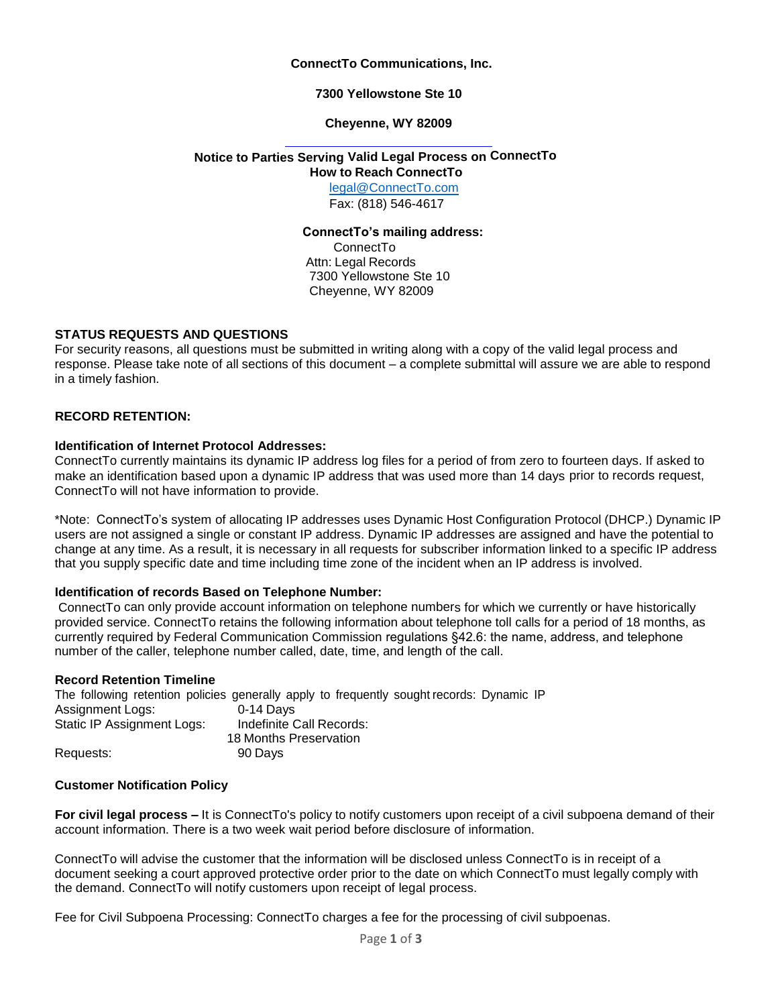#### **ConnectTo Communications, Inc.**

#### **7300 Yellowstone Ste 10**

#### **Cheyenne, WY 82009**

# **Notice to Parties Serving Valid Legal Process on ConnectTo**

**How to Reach ConnectTo**

[legal@ConnectTo.com](mailto:legal@ConnectTo.com) Fax: (818) 546-4617

# **ConnectTo's mailing address:**

ConnectTo Attn: Legal Records 7300 Yellowstone Ste 10 Cheyenne, WY 82009

# **STATUS REQUESTS AND QUESTIONS**

For security reasons, all questions must be submitted in writing along with a copy of the valid legal process and response. Please take note of all sections of this document – a complete submittal will assure we are able to respond in a timely fashion.

#### **RECORD RETENTION:**

#### **Identification of Internet Protocol Addresses:**

ConnectTo currently maintains its dynamic IP address log files for a period of from zero to fourteen days. If asked to make an identification based upon a dynamic IP address that was used more than 14 days prior to records request, ConnectTo will not have information to provide.

\*Note: ConnectTo's system of allocating IP addresses uses Dynamic Host Configuration Protocol (DHCP.) Dynamic IP users are not assigned a single or constant IP address. Dynamic IP addresses are assigned and have the potential to change at any time. As a result, it is necessary in all requests for subscriber information linked to a specific IP address that you supply specific date and time including time zone of the incident when an IP address is involved.

#### **Identification of records Based on Telephone Number:**

ConnectTo can only provide account information on telephone numbers for which we currently or have historically provided service. ConnectTo retains the following information about telephone toll calls for a period of 18 months, as currently required by Federal Communication Commission regulations §42.6: the name, address, and telephone number of the caller, telephone number called, date, time, and length of the call.

#### **Record Retention Timeline**

The following retention policies generally apply to frequently sought records: Dynamic IP Assignment Logs: 0-14 Days Static IP Assignment Logs: Indefinite Call Records: 18 Months Preservation Requests: 90 Days

#### **Customer Notification Policy**

**For civil legal process –** It is ConnectTo's policy to notify customers upon receipt of a civil subpoena demand of their account information. There is a two week wait period before disclosure of information.

ConnectTo will advise the customer that the information will be disclosed unless ConnectTo is in receipt of a document seeking a court approved protective order prior to the date on which ConnectTo must legally comply with the demand. ConnectTo will notify customers upon receipt of legal process.

Fee for Civil Subpoena Processing: ConnectTo charges a fee for the processing of civil subpoenas.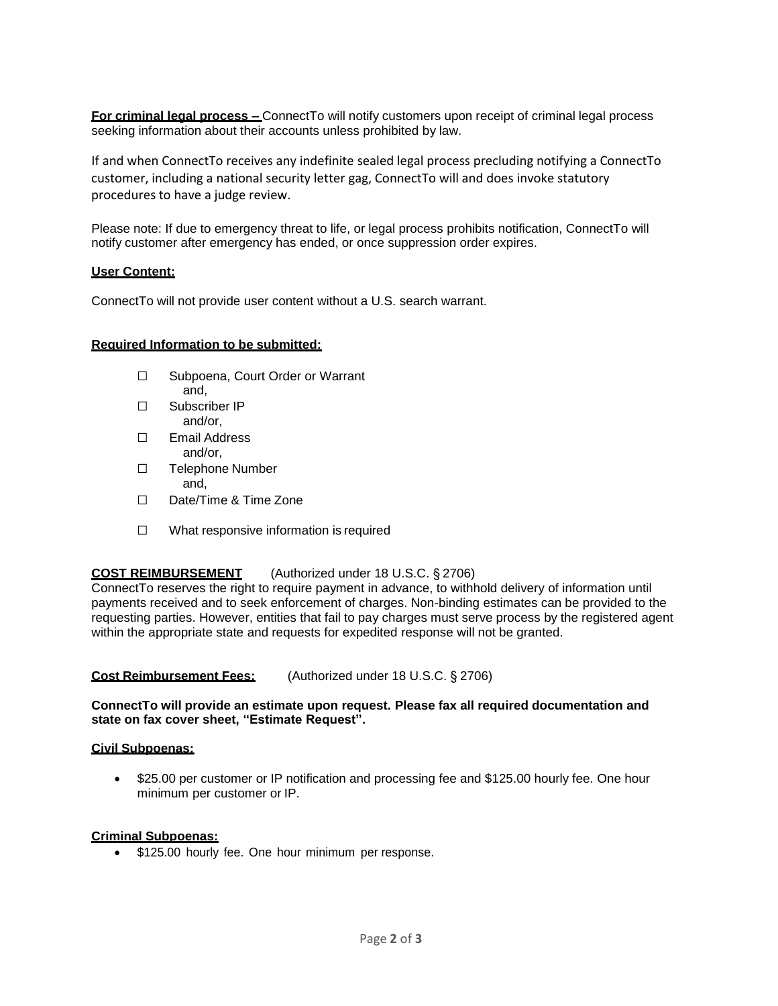**For criminal legal process –** ConnectTo will notify customers upon receipt of criminal legal process seeking information about their accounts unless prohibited by law.

If and when ConnectTo receives any indefinite sealed legal process precluding notifying a ConnectTo customer, including a national security letter gag, ConnectTo will and does invoke statutory procedures to have a judge review.

Please note: If due to emergency threat to life, or legal process prohibits notification, ConnectTo will notify customer after emergency has ended, or once suppression order expires.

#### **User Content:**

ConnectTo will not provide user content without a U.S. search warrant.

#### **Required Information to be submitted:**

- ☐ Subpoena, Court Order or Warrant and,
- ☐ Subscriber IP and/or,
- ☐ Email Address and/or,
- ☐ Telephone Number and,
- ☐ Date/Time & Time Zone
- ☐ What responsive information is required

# **COST REIMBURSEMENT** (Authorized under 18 U.S.C. § 2706)

ConnectTo reserves the right to require payment in advance, to withhold delivery of information until payments received and to seek enforcement of charges. Non-binding estimates can be provided to the requesting parties. However, entities that fail to pay charges must serve process by the registered agent within the appropriate state and requests for expedited response will not be granted.

# **Cost Reimbursement Fees:** (Authorized under 18 U.S.C. § 2706)

# **ConnectTo will provide an estimate upon request. Please fax all required documentation and state on fax cover sheet, "Estimate Request".**

#### **Civil Subpoenas:**

• \$25.00 per customer or IP notification and processing fee and \$125.00 hourly fee. One hour minimum per customer or IP.

#### **Criminal Subpoenas:**

• \$125.00 hourly fee. One hour minimum per response.